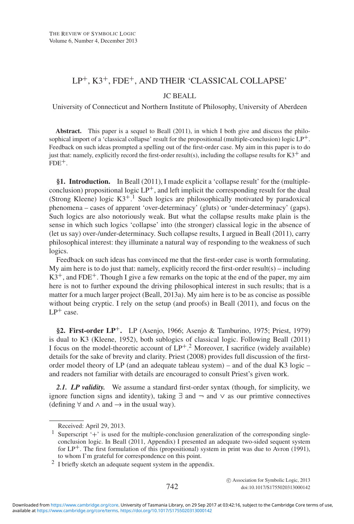# LP+, K3+, FDE+, AND THEIR 'CLASSICAL COLLAPSE'

## JC BEALL

University of Connecticut and Northern Institute of Philosophy, University of Aberdeen

**Abstract.** This paper is a sequel to Beall (2011), in which I both give and discuss the philosophical import of a 'classical collapse' result for the propositional (multiple-conclusion) logic  $LP^+$ . Feedback on such ideas prompted a spelling out of the first-order case. My aim in this paper is to do just that: namely, explicitly record the first-order result(s), including the collapse results for  $K3^+$  and  $FDE^+$ .

**§1. Introduction.** In Beall (2011), I made explicit a 'collapse result' for the (multipleconclusion) propositional logic  $LP^+$ , and left implicit the corresponding result for the dual (Strong Kleene) logic  $K3^{+1}$ . Such logics are philosophically motivated by paradoxical phenomena – cases of apparent 'over-determinacy' (gluts) or 'under-determinacy' (gaps). Such logics are also notoriously weak. But what the collapse results make plain is the sense in which such logics 'collapse' into (the stronger) classical logic in the absence of (let us say) over-/under-determinacy. Such collapse results, I argued in Beall (2011), carry philosophical interest: they illuminate a natural way of responding to the weakness of such logics.

Feedback on such ideas has convinced me that the first-order case is worth formulating. My aim here is to do just that: namely, explicitly record the first-order result(s) – including  $K3^+$ , and FDE<sup>+</sup>. Though I give a few remarks on the topic at the end of the paper, my aim here is not to further expound the driving philosophical interest in such results; that is a matter for a much larger project (Beall, 2013a). My aim here is to be as concise as possible without being cryptic. I rely on the setup (and proofs) in Beall (2011), and focus on the  $LP^+$  case.

**§2. First-order LP**+**.** LP (Asenjo, 1966; Asenjo & Tamburino, 1975; Priest, 1979) is dual to K3 (Kleene, 1952), both sublogics of classical logic. Following Beall (2011) I focus on the model-theoretic account of  $LP^+$ .<sup>2</sup> Moreover, I sacrifice (widely available) details for the sake of brevity and clarity. Priest (2008) provides full discussion of the firstorder model theory of LP (and an adequate tableau system) – and of the dual K3 logic – and readers not familiar with details are encouraged to consult Priest's given work.

2.1. LP *validity*. We assume a standard first-order syntax (though, for simplicity, we ignore function signs and identity), taking  $\exists$  and  $\neg$  and  $\vee$  as our primtive connectives (defining  $\forall$  and  $\land$  and  $\rightarrow$  in the usual way).

c Association for Symbolic Logic, 2013 742 doi:10.1017/S1755020313000142

Received: April 29, 2013.

<sup>&</sup>lt;sup>1</sup> Superscript '+' is used for the multiple-conclusion generalization of the corresponding singleconclusion logic. In Beall (2011, Appendix) I presented an adequate two-sided sequent system for  $LP^+$ . The first formulation of this (propositional) system in print was due to Avron (1991), to whom I'm grateful for correspondence on this point.

<sup>2</sup> I briefly sketch an adequate sequent system in the appendix.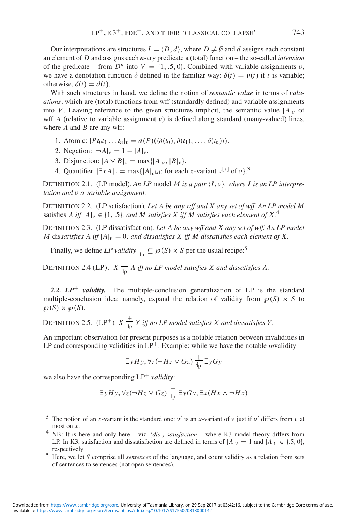Our interpretations are structures  $I = \langle D, d \rangle$ , where  $D \neq \emptyset$  and *d* assigns each constant an element of *D* and assigns each *n*-ary predicate a (total) function – the so-called *intension* of the predicate – from  $D^n$  into  $V = \{1, .5, 0\}$ . Combined with variable assignments  $\nu$ , we have a denotation function  $\delta$  defined in the familiar way:  $\delta(t) = v(t)$  if t is variable; otherwise,  $\delta(t) = d(t)$ .

With such structures in hand, we define the notion of *semantic value* in terms of *valuations*, which are (total) functions from wff (standardly defined) and variable assignments into *V*. Leaving reference to the given structures implicit, the semantic value  $|A|_v$  of wff *A* (relative to variable assignment  $\nu$ ) is defined along standard (many-valued) lines, where *A* and *B* are any wff:

- 1. Atomic:  $|Pt_0t_1 ... t_n|_v = d(P)(\langle \delta(t_0), \delta(t_1), ..., \delta(t_n) \rangle).$
- 2. Negation:  $|\neg A|_{\nu} = 1 |A|_{\nu}$ .
- 3. Disjunction:  $|A \vee B|_{v} = \max\{|A|_{v}, |B|_{v}\}.$
- 4. Quantifier:  $|\exists x A|_{\nu} = \max\{|A|_{\nu}[x]$ : for each *x*-variant  $\nu^{[x]}$  of  $\nu$ .

DEFINITION 2.1. (LP model). An LP model M is a pair  $\langle I, v \rangle$ , where I is an LP interpre*tation and* ν *a variable assignment.*

DEFINITION 2.2. (LP satisfaction)*. Let A be any wff and X any set of wff. An LP model M* satisfies *A* iff  $|A|_v \in \{1, .5\}$ , and *M* satisfies *X* iff *M* satisfies each element of X.<sup>4</sup>

DEFINITION 2.3. (LP dissatisfaction)*. Let A be any wff and X any set of wff. An LP model M* dissatisfies A iff  $|A|_v = 0$ ; and dissatisfies X iff M dissatisfies each element of X.

Finally, we define *LP validity*  $\frac{1}{\ln n} \subseteq \mathcal{P}(S) \times S$  per the usual recipe:<sup>5</sup>

DEFINITION 2.4 (LP).  $X \Big|_{\text{ID}} A$  *iff no LP model satisfies X and dissatisfies A.* 

*2.2. LP*+ *validity.* The multiple-conclusion generalization of LP is the standard multiple-conclusion idea: namely, expand the relation of validity from  $\wp(S) \times S$  to  $\wp(S) \times \wp(S)$ .

DEFINITION 2.5. (LP<sup>+</sup>).  $X\left|\frac{+}{\ln Y}\right|$  *iff no LP model satisfies* X and dissatisfies Y.

An important observation for present purposes is a notable relation between invalidities in LP and corresponding validities in LP<sup>+</sup>. Example: while we have the notable *invalidity* 

$$
\exists y Hy, \forall z (\neg Hz \lor Gz) \biguplus_{\text{np}}^{\text{+}} \exists y Gy
$$

we also have the corresponding  $LP^+$  *validity*:

$$
\exists y Hy, \forall z (\neg Hz \lor Gz) \Big| \frac{+}{\vert p \vert} \exists y Gy, \exists x (Hx \land \neg Hx)
$$

<sup>&</sup>lt;sup>3</sup> The notion of an *x*-variant is the standard one:  $v'$  is an *x*-variant of v just if v' differs from v at most on *x*.

<sup>4</sup> NB: It is here and only here – viz, *(dis-) satisfaction* – where K3 model theory differs from LP. In K3, satisfaction and dissatisfaction are defined in terms of  $|A|_v = 1$  and  $|A|_v \in \{.5, 0\}$ , respectively.

<sup>5</sup> Here, we let *S* comprise all *sentences* of the language, and count validity as a relation from sets of sentences to sentences (not open sentences).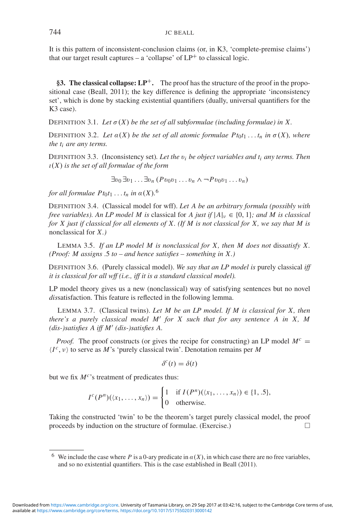It is this pattern of inconsistent-conclusion claims (or, in K3, 'complete-premise claims') that our target result captures – a 'collapse' of  $LP^+$  to classical logic.

**§3. The classical collapse: LP**+**.** The proof has the structure of the proof in the propositional case (Beall, 2011); the key difference is defining the appropriate 'inconsistency set', which is done by stacking existential quantifiers (dually, universal quantifiers for the K3 case).

DEFINITION 3.1. Let  $\sigma(X)$  be the set of all subformulae (including formulae) in X.

DEFINITION 3.2. Let  $\alpha(X)$  be the set of all atomic formulae  $Pt_0t_1 \ldots t_n$  in  $\sigma(X)$ , where *the ti are any terms.*

DEFINITION 3.3. (Inconsistency set)*. Let the* v*<sup>i</sup> be object variables and ti any terms. Then* ι(*X*) *is the set of all formulae of the form*

 $\exists v_0 \, \exists v_1 \ldots \exists v_n \, (P \, v_0 v_1 \ldots v_n \wedge \neg P \, v_0 v_1 \ldots v_n)$ 

*for all formulae*  $Pt_0t_1 \ldots t_n$  *in*  $\alpha(X)$ .<sup>6</sup>

DEFINITION 3.4. (Classical model for wff). *Let A be an arbitrary formula (possibly with free variables). An LP model M is* classical for *A just if*  $|A|_v \in \{0, 1\}$ *; and M is classical for X just if classical for all elements of X. (If M is not classical for X, we say that M is* nonclassical for *X.)*

LEMMA 3.5. *If an LP model M is nonclassical for X, then M does not* dis*satisfy X. (Proof: M assigns* .5 *to – and hence satisfies – something in X.)*

DEFINITION 3.6. (Purely classical model). *We say that an LP model is* purely classical *iff it is classical for all wff (i.e., iff it is a standard classical model).*

LP model theory gives us a new (nonclassical) way of satisfying sentences but no novel *dis*satisfaction. This feature is reflected in the following lemma.

LEMMA 3.7. (Classical twins). *Let M be an LP model. If M is classical for X, then there's a purely classical model M for X such that for any sentence A in X, M (dis-)satisfies A iff M (dis-)satisfies A.*

*Proof.* The proof constructs (or gives the recipe for constructing) an LP model  $M<sup>c</sup>$  =  $\langle I^c, v \rangle$  to serve as *M*'s 'purely classical twin'. Denotation remains per *M* 

$$
\delta^c(t) = \delta(t)
$$

but we fix  $M^c$ 's treatment of predicates thus:

$$
I^c(P^n)(\langle x_1,\ldots,x_n\rangle)=\begin{cases}1 & \text{if } I(P^n)(\langle x_1,\ldots,x_n\rangle)\in\{1,.5\},\\0 & \text{otherwise.}\end{cases}
$$

Taking the constructed 'twin' to be the theorem's target purely classical model, the proof proceeds by induction on the structure of formulae. (Exercise.)  $\Box$ 

<sup>&</sup>lt;sup>6</sup> We include the case where *P* is a 0-ary predicate in  $\alpha(X)$ , in which case there are no free variables, and so no existential quantifiers. This is the case established in Beall (2011).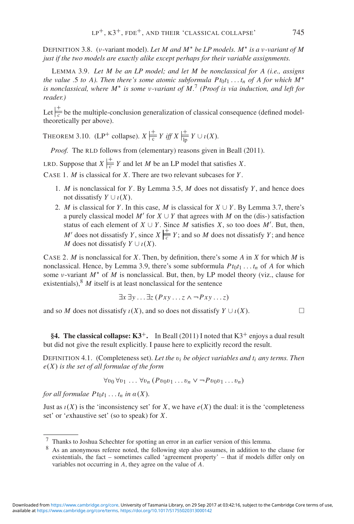DEFINITION 3.8. (ν-variant model). *Let M and M*∗ *be LP models. M*∗ *is a* ν*-variant of M just if the two models are exactly alike except perhaps for their variable assignments.*

LEMMA 3.9. *Let M be an LP model; and let M be nonclassical for A (i.e., assigns the value* .5 *to A*). Then there's some atomic subformula  $P_{t0}t_1 \ldots t_n$  of A for which  $M^*$ *is nonclassical, where M*<sup>∗</sup> *is some* ν*-variant of M.*<sup>7</sup> *(Proof is via induction, and left for reader.)*

Let  $\frac{1}{c}$  be the multiple-conclusion generalization of classical consequence (defined modeltheoretically per above).

THEOREM 3.10. (LP<sup>+</sup> collapse).  $X \frac{+}{c} Y$  *iff*  $X \frac{+}{lp} Y \cup \iota(X)$ *.* 

*Proof.* The RLD follows from (elementary) reasons given in Beall (2011).

LRD. Suppose that  $X \Big| \frac{+}{c} Y$  and let *M* be an LP model that satisfies *X*.

CASE 1. *M* is classical for *X*. There are two relevant subcases for *Y* .

- 1. *M* is nonclassical for *Y* . By Lemma 3.5, *M* does not dissatisfy *Y* , and hence does not dissatisfy  $Y \cup i(X)$ .
- 2. *M* is classical for *Y*. In this case, *M* is classical for  $X \cup Y$ . By Lemma 3.7, there's a purely classical model  $M'$  for  $X \cup Y$  that agrees with M on the (dis-) satisfaction status of each element of  $X \cup Y$ . Since M satisfies X, so too does M'. But, then, *M'* does not dissatisfy *Y*, since  $X \Big| \frac{+}{c} Y$ ; and so *M* does not dissatisfy *Y*; and hence *M* does not dissatisfy  $Y \cup i(X)$ .

CASE 2. *M* is nonclassical for *X*. Then, by definition, there's some *A* in *X* for which *M* is nonclassical. Hence, by Lemma 3.9, there's some subformula  $Pt_0t_1 \ldots t_n$  of *A* for which some ν-variant *M*∗ of *M* is nonclassical. But, then, by LP model theory (viz., clause for existentials), $8 \text{ } M$  itself is at least nonclassical for the sentence

$$
\exists x \exists y \dots \exists z (Pxy \dots z \land \neg Pxy \dots z)
$$

and so *M* does not dissatisfy  $\iota(X)$ , and so does not dissatisfy  $Y \cup \iota(X)$ .

**§4. The classical collapse:**  $K3^+$ **.** In Beall (2011) I noted that  $K3^+$  enjoys a dual result but did not give the result explicitly. I pause here to explicitly record the result.

DEFINITION 4.1. (Completeness set). Let the  $v_i$  be object variables and  $t_i$  any terms. Then *e*(*X*) *is the set of all formulae of the form*

 $\forall v_0 \forall v_1 \dots \forall v_n (Pv_0v_1 \dots v_n \vee \neg Pv_0v_1 \dots v_n)$ 

*for all formulae*  $Pt_0t_1 \ldots t_n$  *in*  $\alpha(X)$ *.* 

Just as  $\iota(X)$  is the 'inconsistency set' for *X*, we have  $e(X)$  the dual: it is the 'completeness' set' or '*e*xhaustive set' (so to speak) for *X*.

$$
\qquad \qquad \Box
$$

<sup>7</sup> Thanks to Joshua Schechter for spotting an error in an earlier version of this lemma.

<sup>8</sup> As an anonymous referee noted, the following step also assumes, in addition to the clause for existentials, the fact – sometimes called 'agreement property' – that if models differ only on variables not occurring in *A*, they agree on the value of *A*.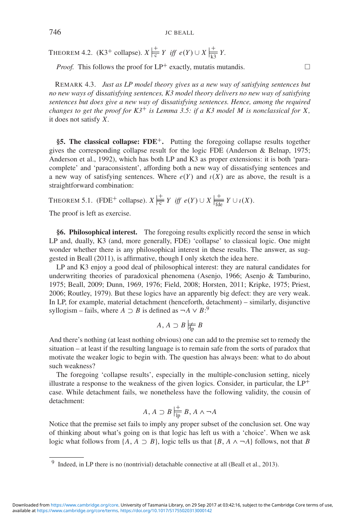THEOREM 4.2. (K3<sup>+</sup> collapse).  $X \frac{1}{c} Y$  *iff*  $e(Y) \cup X \frac{1}{k} Y$ .

*Proof.* This follows the proof for  $LP^+$  exactly, mutatis mutandis.  $\Box$ 

REMARK 4.3. *Just as LP model theory gives us a new way of satisfying sentences but no new ways of* dis*satisfying sentences, K3 model theory delivers no new way of satisfying sentences but does give a new way of* dis*satisfying sentences. Hence, among the required changes to get the proof for K3*+ *is Lemma 3.5: if a K3 model M is nonclassical for X,* it does not satisfy *X.*

**§5. The classical collapse: FDE**+**.** Putting the foregoing collapse results together gives the corresponding collapse result for the logic FDE (Anderson & Belnap, 1975; Anderson et al., 1992), which has both LP and K3 as proper extensions: it is both 'paracomplete' and 'paraconsistent', affording both a new way of dissatisfying sentences and a new way of satisfying sentences. Where  $e(Y)$  and  $i(X)$  are as above, the result is a straightforward combination:

THEOREM 5.1. (FDE<sup>+</sup> collapse).  $X \Big|_{\frac{1}{c}}^{\frac{1}{c}} Y$  *iff*  $e(Y) \cup X \Big|_{\frac{1}{f \text{d}e}}^{\frac{1}{f}} Y \cup i(X)$ .

The proof is left as exercise.

**§6. Philosophical interest.** The foregoing results explicitly record the sense in which LP and, dually, K3 (and, more generally, FDE) 'collapse' to classical logic. One might wonder whether there is any philosophical interest in these results. The answer, as suggested in Beall (2011), is affirmative, though I only sketch the idea here.

LP and K3 enjoy a good deal of philosophical interest: they are natural candidates for underwriting theories of paradoxical phenomena (Asenjo, 1966; Asenjo & Tamburino, 1975; Beall, 2009; Dunn, 1969, 1976; Field, 2008; Horsten, 2011; Kripke, 1975; Priest, 2006; Routley, 1979). But these logics have an apparently big defect: they are very weak. In LP, for example, material detachment (henceforth, detachment) – similarly, disjunctive syllogism – fails, where  $A \supset B$  is defined as  $\neg A \vee B$ <sup>2</sup>

$$
A, A \supset B \not\models_{\mathrm{fp}} B
$$

And there's nothing (at least nothing obvious) one can add to the premise set to remedy the situation – at least if the resulting language is to remain safe from the sorts of paradox that motivate the weaker logic to begin with. The question has always been: what to do about such weakness?

The foregoing 'collapse results', especially in the multiple-conclusion setting, nicely illustrate a response to the weakness of the given logics. Consider, in particular, the  $LP^+$ case. While detachment fails, we nonetheless have the following validity, the cousin of detachment:

$$
A, A \supset B \, |\frac{+}{\ln} \, B, A \wedge \neg A
$$

Notice that the premise set fails to imply any proper subset of the conclusion set. One way of thinking about what's going on is that logic has left us with a 'choice'. When we ask logic what follows from  $\{A, A \supset B\}$ , logic tells us that  $\{B, A \wedge \neg A\}$  follows, not that *B* 

<sup>&</sup>lt;sup>9</sup> Indeed, in LP there is no (nontrivial) detachable connective at all (Beall et al., 2013).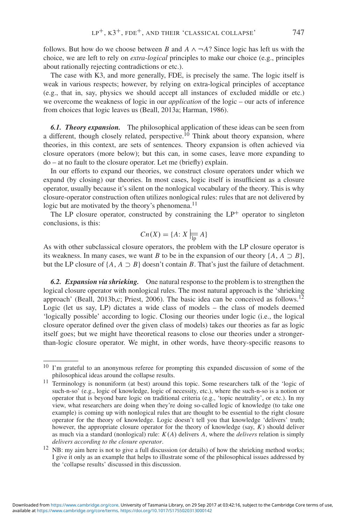follows. But how do we choose between *B* and  $A \wedge \neg A$ ? Since logic has left us with the choice, we are left to rely on *extra-logical* principles to make our choice (e.g., principles about rationally rejecting contradictions or etc.).

The case with K3, and more generally, FDE, is precisely the same. The logic itself is weak in various respects; however, by relying on extra-logical principles of acceptance (e.g., that in, say, physics we should accept all instances of excluded middle or etc.) we overcome the weakness of logic in our *application* of the logic – our acts of inference from choices that logic leaves us (Beall, 2013a; Harman, 1986).

*6.1. Theory expansion.* The philosophical application of these ideas can be seen from a different, though closely related, perspective.<sup>10</sup> Think about theory expansion, where theories, in this context, are sets of sentences. Theory expansion is often achieved via closure operators (more below); but this can, in some cases, leave more expanding to do – at no fault to the closure operator. Let me (briefly) explain.

In our efforts to expand our theories, we construct closure operators under which we expand (by closing) our theories. In most cases, logic itself is insufficient as a closure operator, usually because it's silent on the nonlogical vocabulary of the theory. This is why closure-operator construction often utilizes nonlogical rules: rules that are not delivered by logic but are motivated by the theory's phenomena.<sup>11</sup>

The LP closure operator, constructed by constraining the  $LP<sup>+</sup>$  operator to singleton conclusions, is this:

$$
Cn(X) = \{A: X \mid \equiv A\}
$$

As with other subclassical closure operators, the problem with the LP closure operator is its weakness. In many cases, we want *B* to be in the expansion of our theory  $\{A, A \supset B\}$ , but the LP closure of  $\{A, A \supset B\}$  doesn't contain *B*. That's just the failure of detachment.

*6.2. Expansion via shrieking.* One natural response to the problem is to strengthen the logical closure operator with nonlogical rules. The most natural approach is the 'shrieking approach' (Beall, 2013b,c; Priest, 2006). The basic idea can be conceived as follows.<sup>12</sup> Logic (let us say, LP) dictates a wide class of models – the class of models deemed 'logically possible' according to logic. Closing our theories under logic (i.e., the logical closure operator defined over the given class of models) takes our theories as far as logic itself goes; but we might have theoretical reasons to close our theories under a strongerthan-logic closure operator. We might, in other words, have theory-specific reasons to

<sup>&</sup>lt;sup>10</sup> I'm grateful to an anonymous referee for prompting this expanded discussion of some of the philosophical ideas around the collapse results.

<sup>&</sup>lt;sup>11</sup> Terminology is nonuniform (at best) around this topic. Some researchers talk of the 'logic of such-n-so' (e.g., logic of knowledge, logic of necessity, etc.), where the such-n-so is a notion or operator that is beyond bare logic on traditional criteria (e.g., 'topic neutrality', or etc.). In my view, what researchers are doing when they're doing so-called logic of knowledge (to take one example) is coming up with nonlogical rules that are thought to be essential to the right closure operator for the theory of knowledge. Logic doesn't tell you that knowledge 'delivers' truth; however, the appropriate closure operator for the theory of knowledge (say, *K*) should deliver as much via a standard (nonlogical) rule: *K*(*A*) delivers *A*, where the *delivers* relation is simply *delivers according to the closure operator*.

<sup>&</sup>lt;sup>12</sup> NB: my aim here is not to give a full discussion (or details) of how the shrieking method works; I give it only as an example that helps to illustrate some of the philosophical issues addressed by the 'collapse results' discussed in this discussion.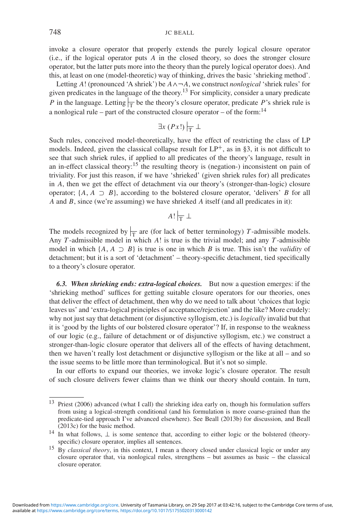invoke a closure operator that properly extends the purely logical closure operator (i.e., if the logical operator puts *A* in the closed theory, so does the stronger closure operator, but the latter puts more into the theory than the purely logical operator does). And this, at least on one (model-theoretic) way of thinking, drives the basic 'shrieking method'.

Letting *A*! (pronounced 'A shriek') be *A*∧¬*A*, we construct *nonlogical* 'shriek rules' for given predicates in the language of the theory.13 For simplicity, consider a unary predicate *P* in the language. Letting  $\frac{1}{T}$  be the theory's closure operator, predicate *P*'s shriek rule is a nonlogical rule – part of the constructed closure operator – of the form:  $14$ 

$$
\exists x (Px!) \big|_{\overline{T}} \perp
$$

Such rules, conceived model-theoretically, have the effect of restricting the class of LP models. Indeed, given the classical collapse result for  $LP^+$ , as in §3, it is not difficult to see that such shriek rules, if applied to all predicates of the theory's language, result in an in-effect classical theory:<sup>15</sup> the resulting theory is (negation-) inconsistent on pain of triviality. For just this reason, if we have 'shrieked' (given shriek rules for) all predicates in *A*, then we get the effect of detachment via our theory's (stronger-than-logic) closure operator;  $\{A, A \supset B\}$ , according to the bolstered closure operator, 'delivers' *B* for all *A* and *B*, since (we're assuming) we have shrieked *A* itself (and all predicates in it):

$$
A! \vert_{\overline{T}} \perp
$$

The models recognized by  $\frac{1}{T}$  are (for lack of better terminology) *T*-admissible models. Any *T* -admissible model in which *A*! is true is the trivial model; and any *T* -admissible model in which  $\{A, A \supset B\}$  is true is one in which *B* is true. This isn't the *validity* of detachment; but it is a sort of 'detachment' – theory-specific detachment, tied specifically to a theory's closure operator.

*6.3. When shrieking ends: extra-logical choices.* But now a question emerges: if the 'shrieking method' suffices for getting suitable closure operators for our theories, ones that deliver the effect of detachment, then why do we need to talk about 'choices that logic leaves us' and 'extra-logical principles of acceptance/rejection' and the like? More crudely: why not just say that detachment (or disjunctive syllogism, etc.) is *logically* invalid but that it is 'good by the lights of our bolstered closure operator'? If, in response to the weakness of our logic (e.g., failure of detachment or of disjunctive syllogism, etc.) we construct a stronger-than-logic closure operator that delivers all of the effects of having detachment, then we haven't really lost detachment or disjunctive syllogism or the like at all – and so the issue seems to be little more than terminological. But it's not so simple.

In our efforts to expand our theories, we invoke logic's closure operator. The result of such closure delivers fewer claims than we think our theory should contain. In turn,

<sup>13</sup> Priest (2006) advanced (what I call) the shrieking idea early on, though his formulation suffers from using a logical-strength conditional (and his formulation is more coarse-grained than the predicate-tied approach I've advanced elsewhere). See Beall (2013b) for discussion, and Beall (2013c) for the basic method.

<sup>&</sup>lt;sup>14</sup> In what follows,  $\perp$  is some sentence that, according to either logic or the bolstered (theoryspecific) closure operator, implies all sentences.

<sup>15</sup> By *classical theory*, in this context, I mean a theory closed under classical logic or under any closure operator that, via nonlogical rules, strengthens – but assumes as basic – the classical closure operator.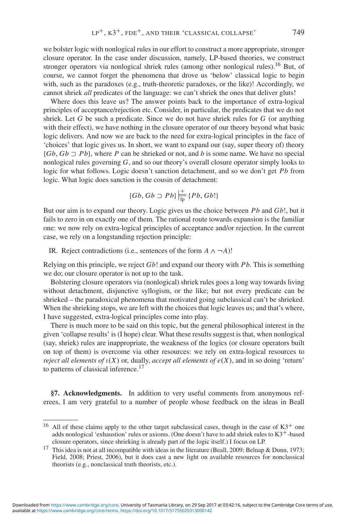we bolster logic with nonlogical rules in our effort to construct a more appropriate, stronger closure operator. In the case under discussion, namely, LP-based theories, we construct stronger operators via nonlogical shriek rules (among other nonlogical rules).<sup>16</sup> But, of course, we cannot forget the phenomena that drove us 'below' classical logic to begin with, such as the paradoxes (e.g., truth-theoretic paradoxes, or the like)! Accordingly, we cannot shriek *all* predicates of the language: we can't shriek the ones that deliver gluts!

Where does this leave us? The answer points back to the importance of extra-logical principles of acceptance/rejection etc. Consider, in particular, the predicates that we do not shriek. Let *G* be such a predicate. Since we do not have shriek rules for *G* (or anything with their effect), we have nothing in the closure operator of our theory beyond what basic logic delivers. And now we are back to the need for extra-logical principles in the face of 'choices' that logic gives us. In short, we want to expand our (say, super theory of) theory {*Gb*, *Gb* ⊃ *Pb*}, where *P* can be shrieked or not, and *b* is some name. We have no special nonlogical rules governing *G*, and so our theory's overall closure operator simply looks to logic for what follows. Logic doesn't sanction detachment, and so we don't get *Pb* from logic. What logic does sanction is the cousin of detachment:

$$
\{Gb, Gb \supset Pb\} \Big| \frac{+}{\text{lp}} \{Pb, Gb! \}
$$

But our aim is to expand our theory. Logic gives us the choice between *Pb* and *Gb*!, but it fails to zero in on exactly one of them. The rational route towards expansion is the familiar one: we now rely on extra-logical principles of acceptance and/or rejection. In the current case, we rely on a longstanding rejection principle:

IR. Reject contradictions (i.e., sentences of the form  $A \wedge \neg A$ )!

Relying on this principle, we reject *Gb*! and expand our theory with *Pb*. This is something we do; our closure operator is not up to the task.

Bolstering closure operators via (nonlogical) shriek rules goes a long way towards living without detachment, disjunctive syllogism, or the like; but not every predicate can be shrieked – the paradoxical phenomena that motivated going subclassical can't be shrieked. When the shrieking stops, we are left with the choices that logic leaves us; and that's where, I have suggested, extra-logical principles come into play.

There is much more to be said on this topic, but the general philosophical interest in the given 'collapse results' is (I hope) clear. What these results suggest is that, when nonlogical (say, shriek) rules are inappropriate, the weakness of the logics (or closure operators built on top of them) is overcome via other resources: we rely on extra-logical resources to *reject all elements of*  $\iota(X)$  or, dually, *accept all elements of*  $e(X)$ , and in so doing 'return' to patterns of classical inference.<sup>17</sup>

**§7. Acknowledgments.** In addition to very useful comments from anonymous referees, I am very grateful to a number of people whose feedback on the ideas in Beall

<sup>&</sup>lt;sup>16</sup> All of these claims apply to the other target subclassical cases, though in the case of  $K3^+$  one adds nonlogical 'exhaustion' rules or axioms. (One doesn't have to add shriek rules to K3+-based closure operators, since shrieking is already part of the logic itself.) I focus on LP.

<sup>&</sup>lt;sup>17</sup> This idea is not at all incompatible with ideas in the literature (Beall, 2009; Belnap & Dunn, 1973; Field, 2008; Priest, 2006), but it does cast a new light on available resources for nonclassical theorists (e.g., nonclassical truth theorists, etc.).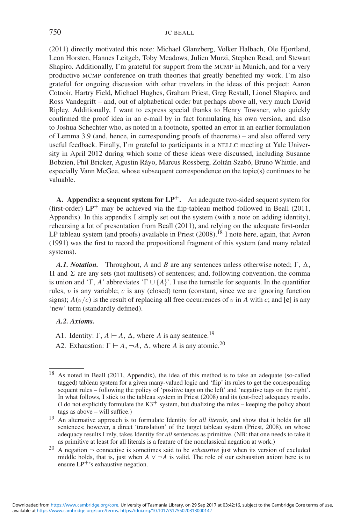(2011) directly motivated this note: Michael Glanzberg, Volker Halbach, Ole Hjortland, Leon Horsten, Hannes Leitgeb, Toby Meadows, Julien Murzi, Stephen Read, and Stewart Shapiro. Additionally, I'm grateful for support from the MCMP in Munich, and for a very productive MCMP conference on truth theories that greatly benefited my work. I'm also grateful for ongoing discussion with other travelers in the ideas of this project: Aaron Cotnoir, Hartry Field, Michael Hughes, Graham Priest, Greg Restall, Lionel Shapiro, and Ross Vandegrift – and, out of alphabetical order but perhaps above all, very much David Ripley. Additionally, I want to express special thanks to Henry Towsner, who quickly confirmed the proof idea in an e-mail by in fact formulating his own version, and also to Joshua Schechter who, as noted in a footnote, spotted an error in an earlier formulation of Lemma 3.9 (and, hence, in corresponding proofs of theorems) – and also offered very useful feedback. Finally, I'm grateful to participants in a NELLC meeting at Yale University in April 2012 during which some of these ideas were discussed, including Susanne Bobzien, Phil Bricker, Agustin Ráyo, Marcus Rossberg, Zoltán Szabó, Bruno Whittle, and especially Vann McGee, whose subsequent correspondence on the topic(s) continues to be valuable.

**A. Appendix: a sequent system for LP**+**.** An adequate two-sided sequent system for (first-order)  $LP^+$  may be achieved via the flip-tableau method followed in Beall (2011, Appendix). In this appendix I simply set out the system (with a note on adding identity), rehearsing a lot of presentation from Beall (2011), and relying on the adequate first-order LP tableau system (and proofs) available in Priest  $(2008)$ .<sup>18</sup> I note here, again, that Avron (1991) was the first to record the propositional fragment of this system (and many related systems).

*A.1. Notation.* Throughout, *A* and *B* are any sentences unless otherwise noted;  $\Gamma$ ,  $\Delta$ ,  $\Pi$  and  $\Sigma$  are any sets (not multisets) of sentences; and, following convention, the comma is union and ' $\Gamma$ , *A*' abbreviates ' $\Gamma \cup \{A\}$ '. I use the turnstile for sequents. In the quantifier rules, v is any variable; *c* is any (closed) term (constant, since we are ignoring function signs);  $A(v/c)$  is the result of replacing all free occurrences of v in A with c; and  $[c]$  is any 'new' term (standardly defined).

#### *A.2. Axioms.*

- A1. Identity:  $\Gamma$ ,  $A \vdash A$ ,  $\Delta$ , where *A* is any sentence.<sup>19</sup>
- A2. Exhaustion:  $\Gamma \vdash A$ ,  $\neg A$ ,  $\Delta$ , where *A* is any atomic.<sup>20</sup>

<sup>18</sup> As noted in Beall (2011, Appendix), the idea of this method is to take an adequate (so-called tagged) tableau system for a given many-valued logic and 'flip' its rules to get the corresponding sequent rules – following the policy of 'positive tags on the left' and 'negative tags on the right'. In what follows, I stick to the tableau system in Priest (2008) and its (cut-free) adequacy results. (I do not explicitly formulate the  $K3^+$  system, but dualizing the rules – keeping the policy about tags as above – will suffice.)

<sup>19</sup> An alternative approach is to formulate Identity for *all literals*, and show that it holds for all sentences; however, a direct 'translation' of the target tableau system (Priest, 2008), on whose adequacy results I rely, takes Identity for *all* sentences as primitive. (NB: that one needs to take it as primitive at least for all literals is a feature of the nonclassical negation at work.)

<sup>&</sup>lt;sup>20</sup> A negation  $\rightarrow$  connective is sometimes said to be *exhaustive* just when its version of excluded middle holds, that is, just when  $A \vee \neg A$  is valid. The role of our exhaustion axiom here is to ensure  $LP^+$ 's exhaustive negation.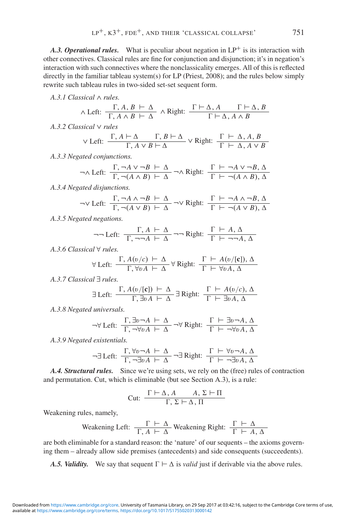A.3. Operational rules. What is peculiar about negation in LP<sup>+</sup> is its interaction with other connectives. Classical rules are fine for conjunction and disjunction; it's in negation's interaction with such connectives where the nonclassicality emerges. All of this is reflected directly in the familiar tableau system(s) for LP (Priest, 2008); and the rules below simply rewrite such tableau rules in two-sided set-set sequent form.

*A.3.1 Classical* ∧ *rules.*

$$
\wedge \text{ Left: } \frac{\Gamma, A, B \vdash \Delta}{\Gamma, A \wedge B \vdash \Delta} \wedge \text{Right: } \frac{\Gamma \vdash \Delta, A \qquad \Gamma \vdash \Delta, B}{\Gamma \vdash \Delta, A \wedge B}
$$

*A.3.2 Classical* ∨ *rules*

$$
\lor \text{ Left: } \frac{\Gamma, A \vdash \Delta \qquad \Gamma, B \vdash \Delta}{\Gamma, A \lor B \vdash \Delta} \lor \text{ Right: } \frac{\Gamma \vdash \Delta, A, B}{\Gamma \vdash \Delta, A \lor B}
$$

*A.3.3 Negated conjunctions.*

$$
\neg \land \text{Left: } \frac{\Gamma, \neg A \lor \neg B \vdash \Delta}{\Gamma, \neg (A \land B) \vdash \Delta} \neg \land \text{Right: } \frac{\Gamma \vdash \neg A \lor \neg B, \Delta}{\Gamma \vdash \neg (A \land B), \Delta}
$$

*A.3.4 Negated disjunctions.*

$$
\neg \lor \text{Left: } \frac{\Gamma, \neg A \land \neg B \vdash \Delta}{\Gamma, \neg (A \lor B) \vdash \Delta} \neg \lor \text{Right: } \frac{\Gamma \vdash \neg A \land \neg B, \Delta}{\Gamma \vdash \neg (A \lor B), \Delta}
$$

*A.3.5 Negated negations.*

$$
\neg\neg \text{Left: } \frac{\Gamma, A \vdash \Delta}{\Gamma, \neg \neg A \vdash \Delta} \neg\neg \text{Right: } \frac{\Gamma \vdash A, \Delta}{\Gamma \vdash \neg \neg A, \Delta}
$$

*A.3.6 Classical* ∀ *rules.*

$$
\forall \text{ Left: } \frac{\Gamma, A(v/c) \vdash \Delta}{\Gamma, \forall v A \vdash \Delta} \forall \text{ Right: } \frac{\Gamma \vdash A(v/[\mathbf{c}]) , \Delta}{\Gamma \vdash \forall v A, \Delta}
$$

*A.3.7 Classical* ∃ *rules.*

$$
\exists \text{ Left: } \frac{\Gamma, A(v/[\mathbf{c}]) \vdash \Delta}{\Gamma, \exists v A \vdash \Delta} \exists \text{ Right: } \frac{\Gamma \vdash A(v/c), \Delta}{\Gamma \vdash \exists v A, \Delta}
$$

*A.3.8 Negated universals.*

$$
\neg \forall \text{ Left: } \frac{\Gamma, \exists v \neg A \vdash \Delta}{\Gamma, \neg \forall v A \vdash \Delta} \neg \forall \text{ Right: } \frac{\Gamma \vdash \exists v \neg A, \Delta}{\Gamma \vdash \neg \forall v A, \Delta}
$$

*A.3.9 Negated existentials.*

$$
\neg \exists \text{ Left: } \frac{\Gamma, \forall v \neg A \vdash \Delta}{\Gamma, \neg \exists v A \vdash \Delta} \neg \exists \text{ Right: } \frac{\Gamma \vdash \forall v \neg A, \Delta}{\Gamma \vdash \neg \exists v A, \Delta}
$$

*A.4. Structural rules.* Since we're using sets, we rely on the (free) rules of contraction and permutation. Cut, which is eliminable (but see Section A.3), is a rule:

$$
Cut: \frac{\Gamma \vdash \Delta, A \qquad A, \Sigma \vdash \Pi}{\Gamma, \Sigma \vdash \Delta, \Pi}
$$

Weakening rules, namely,

Weakening Left: 
$$
\frac{\Gamma \vdash \Delta}{\Gamma, A \vdash \Delta}
$$
 Weakening Right:  $\frac{\Gamma \vdash \Delta}{\Gamma \vdash A, \Delta}$ 

are both eliminable for a standard reason: the 'nature' of our sequents – the axioms governing them – already allow side premises (antecedents) and side consequents (succeedents).

*A.5. Validity.* We say that sequent  $\Gamma \vdash \Delta$  is *valid* just if derivable via the above rules.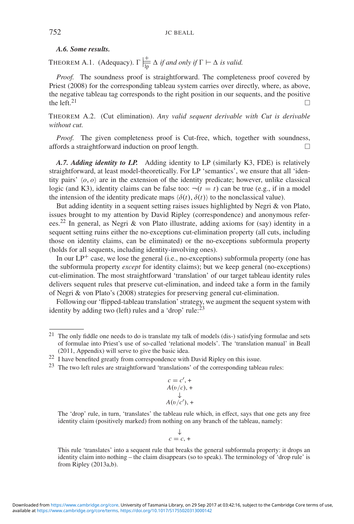## *A.6. Some results.*

THEOREM A.1. (Adequacy).  $\Gamma \Big| \frac{1}{\ln \rho} \Delta$  *if and only if*  $\Gamma \vdash \Delta$  *is valid.* 

*Proof.* The soundness proof is straightforward. The completeness proof covered by Priest (2008) for the corresponding tableau system carries over directly, where, as above, the negative tableau tag corresponds to the right position in our sequents, and the positive the left.<sup>21</sup> the left.<sup>21</sup>

THEOREM A.2. (Cut elimination). *Any valid sequent derivable with Cut is derivable without cut.*

*Proof.* The given completeness proof is Cut-free, which, together with soundness, affords a straightforward induction on proof length. -

*A.7. Adding identity to LP.* Adding identity to LP (similarly K3, FDE) is relatively straightforward, at least model-theoretically. For LP 'semantics', we ensure that all 'identity pairs'  $\langle o, o \rangle$  are in the extension of the identity predicate; however, unlike classical logic (and K3), identity claims can be false too:  $\neg(t = t)$  can be true (e.g., if in a model the intension of the identity predicate maps  $\langle \delta(t), \delta(t) \rangle$  to the nonclassical value).

But adding identity in a sequent setting raises issues highlighted by Negri & von Plato, issues brought to my attention by David Ripley (correspondence) and anonymous referees.22 In general, as Negri & von Plato illustrate, adding axioms for (say) identity in a sequent setting ruins either the no-exceptions cut-elimination property (all cuts, including those on identity claims, can be eliminated) or the no-exceptions subformula property (holds for all sequents, including identity-involving ones).

In our  $LP^+$  case, we lose the general (i.e., no-exceptions) subformula property (one has the subformula property *except* for identity claims); but we keep general (no-exceptions) cut-elimination. The most straightforward 'translation' of our target tableau identity rules delivers sequent rules that preserve cut-elimination, and indeed take a form in the family of Negri & von Plato's (2008) strategies for preserving general cut-elimination.

Following our 'flipped-tableau translation' strategy, we augment the sequent system with identity by adding two (left) rules and a 'drop' rule:<sup>23</sup>

$$
c = c', +
$$
  
A(v/c), +  

$$
\downarrow
$$
  
A(v/c'), +

The 'drop' rule, in turn, 'translates' the tableau rule which, in effect, says that one gets any free identity claim (positively marked) from nothing on any branch of the tableau, namely:

$$
\downarrow
$$
  
 $c = c$ , +

This rule 'translates' into a sequent rule that breaks the general subformula property: it drops an identity claim into nothing – the claim disappears (so to speak). The terminology of 'drop rule' is from Ripley (2013a,b).

<sup>21</sup> The only fiddle one needs to do is translate my talk of models (dis-) satisfying formulae and sets of formulae into Priest's use of so-called 'relational models'. The 'translation manual' in Beall (2011, Appendix) will serve to give the basic idea.

<sup>&</sup>lt;sup>22</sup> I have benefited greatly from correspondence with David Ripley on this issue.

<sup>23</sup> The two left rules are straightforward 'translations' of the corresponding tableau rules: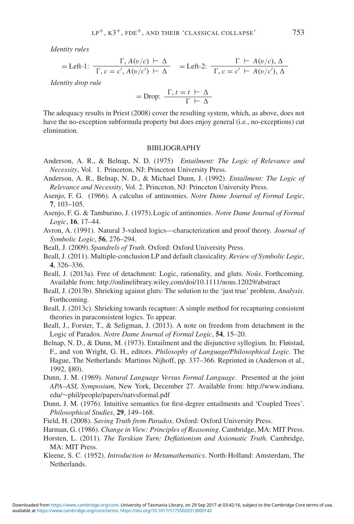*Identity rules*

$$
= \text{Left-1: } \frac{\Gamma, A(v/c) \vdash \Delta}{\Gamma, c = c', A(v/c') \vdash \Delta} = \text{Left-2: } \frac{\Gamma \vdash A(v/c), \Delta}{\Gamma, c = c' \vdash A(v/c'), \Delta}
$$

*Identity drop rule*

$$
= \text{Drop: } \frac{\Gamma, t = t \vdash \Delta}{\Gamma \vdash \Delta}
$$

The adequacy results in Priest (2008) cover the resulting system, which, as above, does not have the no-exception subformula property but does enjoy general (i.e., no-exceptions) cut elimination.

### BIBLIOGRAPHY

- Anderson, A. R., & Belnap, N. D. (1975) *Entailment: The Logic of Relevance and Necessity*, Vol. 1. Princeton, NJ: Princeton University Press.
- Anderson, A. R., Belnap, N. D., & Michael Dunn, J. (1992). *Entailment: The Logic of Relevance and Necessity*, Vol. 2. Princeton, NJ: Princeton University Press.
- Asenjo, F. G. (1966). A calculus of antinomies. *Notre Dame Journal of Formal Logic*, **7**, 103–105.
- Asenjo, F. G. & Tamburino, J. (1975).Logic of antinomies. *Notre Dame Journal of Formal Logic*, **16**, 17–44.
- Avron, A. (1991). Natural 3-valued logics—characterization and proof theory. *Journal of Symbolic Logic*, **56**, 276–294.
- Beall, J. (2009).*Spandrels of Truth*. Oxford: Oxford University Press.
- Beall, J. (2011). Multiple-conclusion LP and default classicality. *Review of Symbolic Logic*, **4**, 326–336.
- Beall, J. (2013a). Free of detachment: Logic, rationality, and gluts. *Noûs*. Forthcoming. Available from: http://onlinelibrary.wiley.com/doi/10.1111/nous.12029/abstract
- Beall, J. (2013b). Shrieking against gluts: The solution to the 'just true' problem. *Analysis*. Forthcoming.
- Beall, J. (2013c). Shrieking towards recapture: A simple method for recapturing consistent theories in paraconsistent logics. To appear.
- Beall, J., Forster, T., & Seligman, J. (2013). A note on freedom from detachment in the Logic of Paradox. *Notre Dame Journal of Formal Logic*, **54**, 15–20.
- Belnap, N. D., & Dunn, M. (1973). Entailment and the disjunctive syllogism. In: Fløistad, F., and von Wright, G. H., editors. *Philosophy of Language/Philosophical Logic*. The Hague, The Netherlands: Martinus Nijhoff, pp. 337–366. Reprinted in (Anderson et al., 1992, §80).
- Dunn, J. M. (1969). *Natural Language Versus Formal Language*. Presented at the joint *APA–ASL Symposium*, New York, December 27. Available from: http://www.indiana. edu/∼phil/people/papers/natvsformal.pdf
- Dunn, J. M. (1976). Intuitive semantics for first-degree entailments and 'Coupled Trees'. *Philosophical Studies*, **29**, 149–168.
- Field, H. (2008). *Saving Truth from Paradox*. Oxford: Oxford University Press.
- Harman, G. (1986). *Change in View: Principles of Reasoning*. Cambridge, MA: MIT Press.
- Horsten, L. (2011). *The Tarskian Turn: Deflationism and Axiomatic Truth*. Cambridge, MA: MIT Press.
- Kleene, S. C. (1952). *Introduction to Metamathematics*. North-Holland: Amsterdam, The Netherlands.